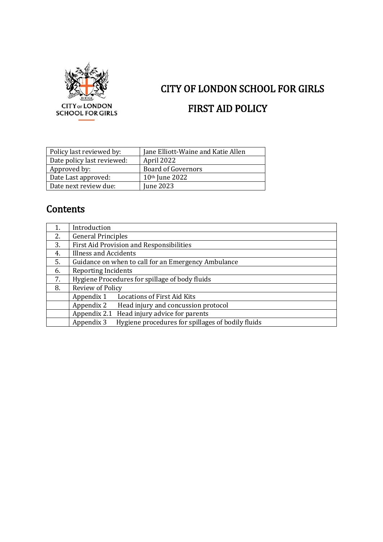

# CITY OF LONDON SCHOOL FOR GIRLS FIRST AID POLICY

| Policy last reviewed by:   | Jane Elliott-Waine and Katie Allen |
|----------------------------|------------------------------------|
| Date policy last reviewed: | April 2022                         |
| Approved by:               | <b>Board of Governors</b>          |
| Date Last approved:        | 10 <sup>th</sup> June 2022         |
| Date next review due:      | June 2023                          |

# **Contents**

|    | Introduction                                                    |
|----|-----------------------------------------------------------------|
| 2. | <b>General Principles</b>                                       |
| 3. | <b>First Aid Provision and Responsibilities</b>                 |
| 4. | <b>Illness and Accidents</b>                                    |
| 5. | Guidance on when to call for an Emergency Ambulance             |
| 6. | <b>Reporting Incidents</b>                                      |
| 7. | Hygiene Procedures for spillage of body fluids                  |
| 8. | Review of Policy                                                |
|    | <b>Locations of First Aid Kits</b><br>Appendix 1                |
|    | Appendix 2<br>Head injury and concussion protocol               |
|    | Appendix 2.1 Head injury advice for parents                     |
|    | Hygiene procedures for spillages of bodily fluids<br>Appendix 3 |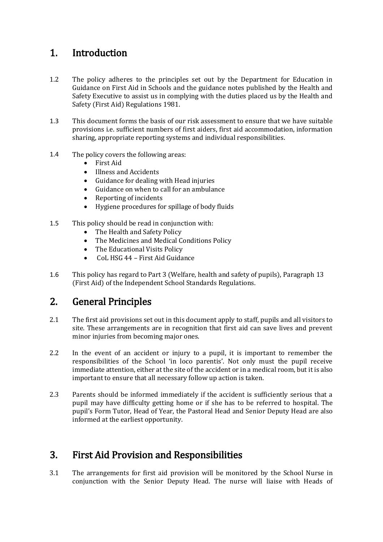# 1. Introduction

- 1.2 The policy adheres to the principles set out by the Department for Education in Guidance on First Aid in Schools and the guidance notes published by the Health and Safety Executive to assist us in complying with the duties placed us by the Health and Safety (First Aid) Regulations 1981.
- 1.3 This document forms the basis of our risk assessment to ensure that we have suitable provisions i.e. sufficient numbers of first aiders, first aid accommodation, information sharing, appropriate reporting systems and individual responsibilities.
- 1.4 The policy covers the following areas:
	- First Aid
	- Illness and Accidents
	- Guidance for dealing with Head injuries
	- Guidance on when to call for an ambulance
	- Reporting of incidents
	- Hygiene procedures for spillage of body fluids
- 1.5 This policy should be read in conjunction with:
	- The Health and Safety Policy
	- The Medicines and Medical Conditions Policy
	- The Educational Visits Policy
	- CoL HSG 44 First Aid Guidance
- 1.6 This policy has regard to Part 3 (Welfare, health and safety of pupils), Paragraph 13 (First Aid) of the Independent School Standards Regulations.

# 2. General Principles

- 2.1 The first aid provisions set out in this document apply to staff, pupils and all visitors to site. These arrangements are in recognition that first aid can save lives and prevent minor injuries from becoming major ones.
- 2.2 In the event of an accident or injury to a pupil, it is important to remember the responsibilities of the School 'in loco parentis'. Not only must the pupil receive immediate attention, either at the site of the accident or in a medical room, but it is also important to ensure that all necessary follow up action is taken.
- 2.3 Parents should be informed immediately if the accident is sufficiently serious that a pupil may have difficulty getting home or if she has to be referred to hospital. The pupil's Form Tutor, Head of Year, the Pastoral Head and Senior Deputy Head are also informed at the earliest opportunity.

# 3. First Aid Provision and Responsibilities

3.1 The arrangements for first aid provision will be monitored by the School Nurse in conjunction with the Senior Deputy Head. The nurse will liaise with Heads of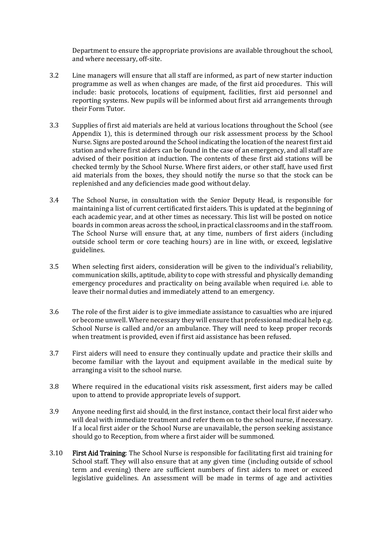Department to ensure the appropriate provisions are available throughout the school, and where necessary, off-site.

- 3.2 Line managers will ensure that all staff are informed, as part of new starter induction programme as well as when changes are made, of the first aid procedures. This will include: basic protocols, locations of equipment, facilities, first aid personnel and reporting systems. New pupils will be informed about first aid arrangements through their Form Tutor.
- 3.3 Supplies of first aid materials are held at various locations throughout the School (see Appendix 1), this is determined through our risk assessment process by the School Nurse. Signs are posted around the School indicating the location of the nearest first aid station and where first aiders can be found in the case of an emergency, and all staff are advised of their position at induction. The contents of these first aid stations will be checked termly by the School Nurse. Where first aiders, or other staff, have used first aid materials from the boxes, they should notify the nurse so that the stock can be replenished and any deficiencies made good without delay.
- 3.4 The School Nurse, in consultation with the Senior Deputy Head, is responsible for maintaining a list of current certificated first aiders. This is updated at the beginning of each academic year, and at other times as necessary. This list will be posted on notice boards in common areas across the school, in practical classrooms and in the staff room. The School Nurse will ensure that, at any time, numbers of first aiders (including outside school term or core teaching hours) are in line with, or exceed, legislative guidelines.
- 3.5 When selecting first aiders, consideration will be given to the individual's reliability, communication skills, aptitude, ability to cope with stressful and physically demanding emergency procedures and practicality on being available when required i.e. able to leave their normal duties and immediately attend to an emergency.
- 3.6 The role of the first aider is to give immediate assistance to casualties who are injured or become unwell. Where necessary they will ensure that professional medical help e.g. School Nurse is called and/or an ambulance. They will need to keep proper records when treatment is provided, even if first aid assistance has been refused.
- 3.7 First aiders will need to ensure they continually update and practice their skills and become familiar with the layout and equipment available in the medical suite by arranging a visit to the school nurse.
- 3.8 Where required in the educational visits risk assessment, first aiders may be called upon to attend to provide appropriate levels of support.
- 3.9 Anyone needing first aid should, in the first instance, contact their local first aider who will deal with immediate treatment and refer them on to the school nurse, if necessary. If a local first aider or the School Nurse are unavailable, the person seeking assistance should go to Reception, from where a first aider will be summoned.
- 3.10 First Aid Training: The School Nurse is responsible for facilitating first aid training for School staff. They will also ensure that at any given time (including outside of school term and evening) there are sufficient numbers of first aiders to meet or exceed legislative guidelines. An assessment will be made in terms of age and activities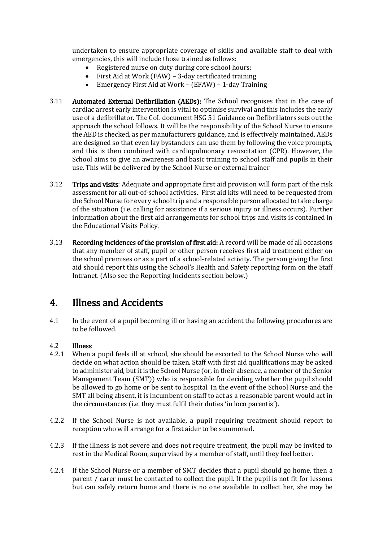undertaken to ensure appropriate coverage of skills and available staff to deal with emergencies, this will include those trained as follows:

- Registered nurse on duty during core school hours;
- First Aid at Work (FAW) 3-day certificated training
- Emergency First Aid at Work (EFAW) 1-day Training
- 3.11 Automated External Defibrillation (AEDs): The School recognises that in the case of cardiac arrest early intervention is vital to optimise survival and this includes the early use of a defibrillator. The CoL document HSG 51 Guidance on Defibrillators sets out the approach the school follows. It will be the responsibility of the School Nurse to ensure the AED is checked, as per manufacturers guidance, and is effectively maintained. AEDs are designed so that even lay bystanders can use them by following the voice prompts, and this is then combined with cardiopulmonary resuscitation (CPR). However, the School aims to give an awareness and basic training to school staff and pupils in their use. This will be delivered by the School Nurse or external trainer
- 3.12 Trips and visits: Adequate and appropriate first aid provision will form part of the risk assessment for all out-of-school activities. First aid kits will need to be requested from the School Nurse for every school trip and a responsible person allocated to take charge of the situation (i.e. calling for assistance if a serious injury or illness occurs). Further information about the first aid arrangements for school trips and visits is contained in the Educational Visits Policy.
- 3.13 Recording incidences of the provision of first aid: A record will be made of all occasions that any member of staff, pupil or other person receives first aid treatment either on the school premises or as a part of a school-related activity. The person giving the first aid should report this using the School's Health and Safety reporting form on the Staff Intranet. (Also see the Reporting Incidents section below.)

# 4. Illness and Accidents

4.1 In the event of a pupil becoming ill or having an accident the following procedures are to be followed.

### 4.2 Illness

- 4.2.1 When a pupil feels ill at school, she should be escorted to the School Nurse who will decide on what action should be taken. Staff with first aid qualifications may be asked to administer aid, but it is the School Nurse (or, in their absence, a member of the Senior Management Team (SMT)) who is responsible for deciding whether the pupil should be allowed to go home or be sent to hospital. In the event of the School Nurse and the SMT all being absent, it is incumbent on staff to act as a reasonable parent would act in the circumstances (i.e. they must fulfil their duties 'in loco parentis').
- 4.2.2 If the School Nurse is not available, a pupil requiring treatment should report to reception who will arrange for a first aider to be summoned.
- 4.2.3 If the illness is not severe and does not require treatment, the pupil may be invited to rest in the Medical Room, supervised by a member of staff, until they feel better.
- 4.2.4 If the School Nurse or a member of SMT decides that a pupil should go home, then a parent / carer must be contacted to collect the pupil. If the pupil is not fit for lessons but can safely return home and there is no one available to collect her, she may be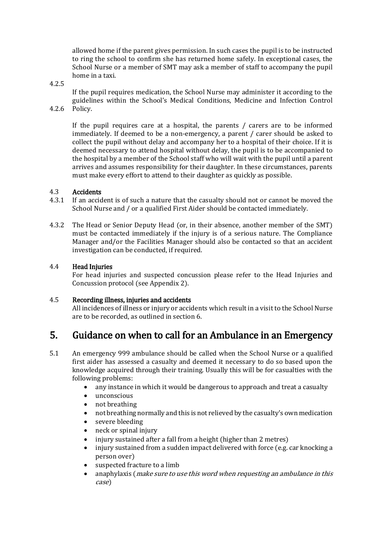allowed home if the parent gives permission. In such cases the pupil is to be instructed to ring the school to confirm she has returned home safely. In exceptional cases, the School Nurse or a member of SMT may ask a member of staff to accompany the pupil home in a taxi.

4.2.5

4.2.6

If the pupil requires medication, the School Nurse may administer it according to the guidelines within the School's Medical Conditions, Medicine and Infection Control Policy.

If the pupil requires care at a hospital, the parents / carers are to be informed immediately. If deemed to be a non-emergency, a parent / carer should be asked to collect the pupil without delay and accompany her to a hospital of their choice. If it is deemed necessary to attend hospital without delay, the pupil is to be accompanied to the hospital by a member of the School staff who will wait with the pupil until a parent arrives and assumes responsibility for their daughter. In these circumstances, parents must make every effort to attend to their daughter as quickly as possible.

### 4.3 Accidents

- 4.3.1 If an accident is of such a nature that the casualty should not or cannot be moved the School Nurse and / or a qualified First Aider should be contacted immediately.
- 4.3.2 The Head or Senior Deputy Head (or, in their absence, another member of the SMT) must be contacted immediately if the injury is of a serious nature. The Compliance Manager and/or the Facilities Manager should also be contacted so that an accident investigation can be conducted, if required.

### 4.4 Head Injuries

For head injuries and suspected concussion please refer to the Head Injuries and Concussion protocol (see Appendix 2).

### 4.5 Recording illness, injuries and accidents

All incidences of illness or injury or accidents which result in a visit to the School Nurse are to be recorded, as outlined in section 6.

# 5. Guidance on when to call for an Ambulance in an Emergency

- 5.1 An emergency 999 ambulance should be called when the School Nurse or a qualified first aider has assessed a casualty and deemed it necessary to do so based upon the knowledge acquired through their training. Usually this will be for casualties with the following problems:
	- any instance in which it would be dangerous to approach and treat a casualty
	- unconscious
	- not breathing
	- not breathing normally and this is not relieved by the casualty's own medication
	- severe bleeding
	- neck or spinal injury
	- injury sustained after a fall from a height (higher than 2 metres)
	- injury sustained from a sudden impact delivered with force (e.g. car knocking a person over)
	- suspected fracture to a limb
	- anaphylaxis (*make sure to use this word when requesting an ambulance in this* case)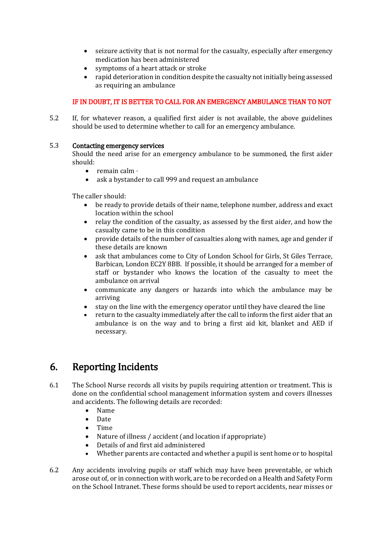- seizure activity that is not normal for the casualty, especially after emergency medication has been administered
- symptoms of a heart attack or stroke
- rapid deterioration in condition despite the casualty not initially being assessed as requiring an ambulance

### IF IN DOUBT, IT IS BETTER TO CALL FOR AN EMERGENCY AMBULANCE THAN TO NOT

5.2 If, for whatever reason, a qualified first aider is not available, the above guidelines should be used to determine whether to call for an emergency ambulance.

### 5.3 Contacting emergency services

Should the need arise for an emergency ambulance to be summoned, the first aider should:

- $\bullet$  remain calm  $\cdot$
- ask a bystander to call 999 and request an ambulance

The caller should:

- be ready to provide details of their name, telephone number, address and exact location within the school
- relay the condition of the casualty, as assessed by the first aider, and how the casualty came to be in this condition
- provide details of the number of casualties along with names, age and gender if these details are known
- ask that ambulances come to City of London School for Girls, St Giles Terrace, Barbican, London EC2Y 8BB. If possible, it should be arranged for a member of staff or bystander who knows the location of the casualty to meet the ambulance on arrival
- communicate any dangers or hazards into which the ambulance may be arriving
- stay on the line with the emergency operator until they have cleared the line
- return to the casualty immediately after the call to inform the first aider that an ambulance is on the way and to bring a first aid kit, blanket and AED if necessary.

# 6. Reporting Incidents

- 6.1 The School Nurse records all visits by pupils requiring attention or treatment. This is done on the confidential school management information system and covers illnesses and accidents. The following details are recorded:
	- Name
	- Date
	- Time
	- Nature of illness / accident (and location if appropriate)
	- Details of and first aid administered
	- Whether parents are contacted and whether a pupil is sent home or to hospital
- 6.2 Any accidents involving pupils or staff which may have been preventable, or which arose out of, or in connection with work, are to be recorded on a Health and Safety Form on the School Intranet. These forms should be used to report accidents, near misses or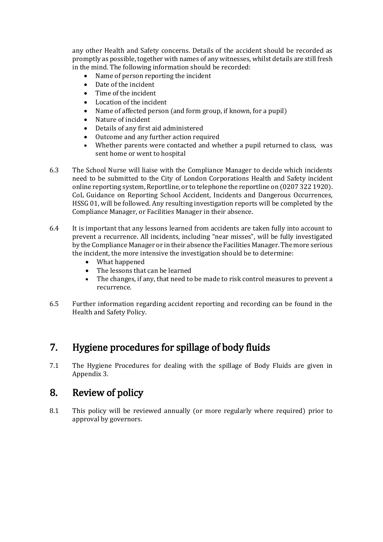any other Health and Safety concerns. Details of the accident should be recorded as promptly as possible, together with names of any witnesses, whilst details are still fresh in the mind. The following information should be recorded:

- Name of person reporting the incident
- Date of the incident
- Time of the incident
- Location of the incident
- Name of affected person (and form group, if known, for a pupil)
- Nature of incident
- Details of any first aid administered
- Outcome and any further action required
- Whether parents were contacted and whether a pupil returned to class, was sent home or went to hospital
- 6.3 The School Nurse will liaise with the Compliance Manager to decide which incidents need to be submitted to the City of London Corporations Health and Safety incident online reporting system, Reportline, or to telephone the reportline on (0207 322 1920). CoL Guidance on Reporting School Accident, Incidents and Dangerous Occurrences, HSSG 01, will be followed. Any resulting investigation reports will be completed by the Compliance Manager, or Facilities Manager in their absence.
- 6.4 It is important that any lessons learned from accidents are taken fully into account to prevent a recurrence. All incidents, including "near misses", will be fully investigated by the Compliance Manager or in their absence the Facilities Manager. The more serious the incident, the more intensive the investigation should be to determine:
	- What happened
	- The lessons that can be learned
	- The changes, if any, that need to be made to risk control measures to prevent a recurrence.
- 6.5 Further information regarding accident reporting and recording can be found in the Health and Safety Policy.

# 7. Hygiene procedures for spillage of body fluids

7.1 The Hygiene Procedures for dealing with the spillage of Body Fluids are given in Appendix 3.

# 8. Review of policy

8.1 This policy will be reviewed annually (or more regularly where required) prior to approval by governors.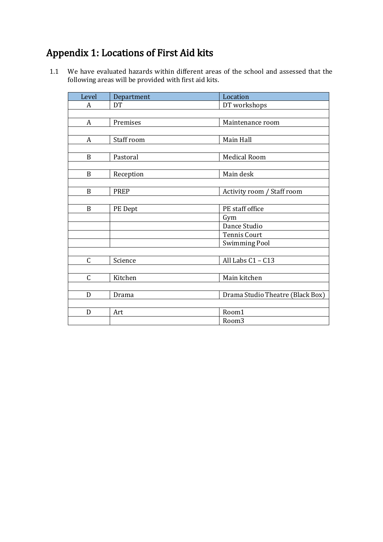# Appendix 1: Locations of First Aid kits

1.1 We have evaluated hazards within different areas of the school and assessed that the following areas will be provided with first aid kits.

| Level            | Department | Location                         |
|------------------|------------|----------------------------------|
| $\boldsymbol{A}$ | DT         | DT workshops                     |
|                  |            |                                  |
| $\mathbf{A}$     | Premises   | Maintenance room                 |
|                  |            |                                  |
| A                | Staff room | Main Hall                        |
|                  |            |                                  |
| B                | Pastoral   | <b>Medical Room</b>              |
|                  |            |                                  |
| B                | Reception  | Main desk                        |
|                  |            |                                  |
| B                | PREP       | Activity room / Staff room       |
|                  |            |                                  |
| B                | PE Dept    | PE staff office                  |
|                  |            | Gym                              |
|                  |            | Dance Studio                     |
|                  |            | <b>Tennis Court</b>              |
|                  |            | <b>Swimming Pool</b>             |
|                  |            |                                  |
| $\mathsf C$      | Science    | All Labs C1 - C13                |
|                  |            |                                  |
| $\mathsf C$      | Kitchen    | Main kitchen                     |
|                  |            |                                  |
| D                | Drama      | Drama Studio Theatre (Black Box) |
|                  |            |                                  |
| D                | Art        | Room1                            |
|                  |            | Room3                            |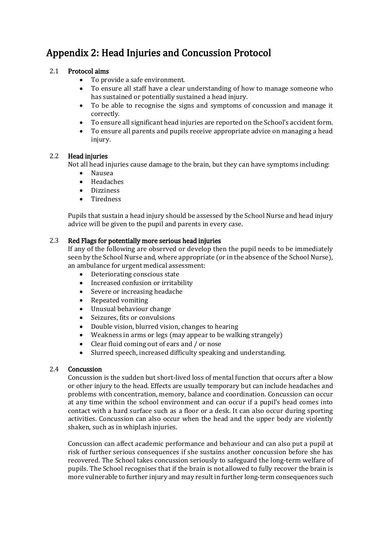# Appendix 2: Head Injuries and Concussion Protocol

### 2.1 Protocol aims

- To provide a safe environment.
- To ensure all staff have a clear understanding of how to manage someone who has sustained or potentially sustained a head injury.
- To be able to recognise the signs and symptoms of concussion and manage it correctly.
- To ensure all significant head injuries are reported on the School's accident form.
- To ensure all parents and pupils receive appropriate advice on managing a head injury.

### 2.2 Head injuries

Not all head injuries cause damage to the brain, but they can have symptoms including:

- Nausea
- Headaches
- **•** Dizziness
- Tiredness

Pupils that sustain a head injury should be assessed by the School Nurse and head injury advice will be given to the pupil and parents in every case.

### 2.3 Red Flags for potentially more serious head injuries

If any of the following are observed or develop then the pupil needs to be immediately seen by the School Nurse and, where appropriate (or in the absence of the School Nurse), an ambulance for urgent medical assessment:

- Deteriorating conscious state
- Increased confusion or irritability
- Severe or increasing headache
- Repeated vomiting
- Unusual behaviour change
- Seizures, fits or convulsions
- Double vision, blurred vision, changes to hearing
- Weakness in arms or legs (may appear to be walking strangely)
- Clear fluid coming out of ears and / or nose
- Slurred speech, increased difficulty speaking and understanding.

### 2.4 Concussion

Concussion is the sudden but short-lived loss of mental function that occurs after a blow or other injury to the head. Effects are usually temporary but can include headaches and problems with concentration, memory, balance and coordination. Concussion can occur at any time within the school environment and can occur if a pupil's head comes into contact with a hard surface such as a floor or a desk. It can also occur during sporting activities. Concussion can also occur when the head and the upper body are violently shaken, such as in whiplash injuries.

Concussion can affect academic performance and behaviour and can also put a pupil at risk of further serious consequences if she sustains another concussion before she has recovered. The School takes concussion seriously to safeguard the long-term welfare of pupils. The School recognises that if the brain is not allowed to fully recover the brain is more vulnerable to further injury and may result in further long-term consequences such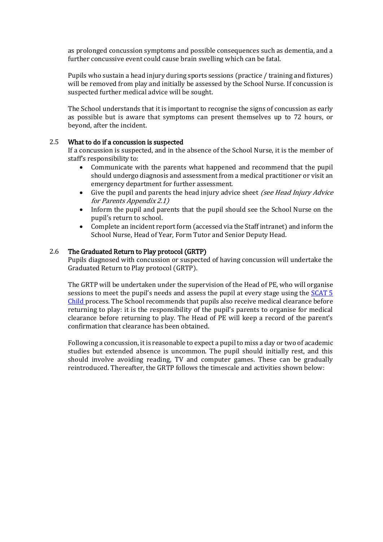as prolonged concussion symptoms and possible consequences such as dementia, and a further concussive event could cause brain swelling which can be fatal.

Pupils who sustain a head injury during sports sessions (practice / training and fixtures) will be removed from play and initially be assessed by the School Nurse. If concussion is suspected further medical advice will be sought.

The School understands that it is important to recognise the signs of concussion as early as possible but is aware that symptoms can present themselves up to 72 hours, or beyond, after the incident.

### 2.5 What to do if a concussion is suspected

If a concussion is suspected, and in the absence of the School Nurse, it is the member of staff's responsibility to:

- Communicate with the parents what happened and recommend that the pupil should undergo diagnosis and assessment from a medical practitioner or visit an emergency department for further assessment.
- Give the pupil and parents the head injury advice sheet *(see Head Injury Advice*) for Parents Appendix 2.1)
- Inform the pupil and parents that the pupil should see the School Nurse on the pupil's return to school.
- Complete an incident report form (accessed via the Staff intranet) and inform the School Nurse, Head of Year, Form Tutor and Senior Deputy Head.

### 2.6 The Graduated Return to Play protocol (GRTP)

Pupils diagnosed with concussion or suspected of having concussion will undertake the Graduated Return to Play protocol (GRTP).

The GRTP will be undertaken under the supervision of the Head of PE, who will organise sessions to meet the pupil's needs and assess the pupil at every stage using the [SCAT 5](https://www.englandrugby.com/dxdam/e8/e8a42b30-410f-453a-9994-ba76a1e2299e/SCAT5Child_Neutral.pdf)  [Child p](https://www.englandrugby.com/dxdam/e8/e8a42b30-410f-453a-9994-ba76a1e2299e/SCAT5Child_Neutral.pdf)rocess. The School recommends that pupils also receive medical clearance before returning to play: it is the responsibility of the pupil's parents to organise for medical clearance before returning to play. The Head of PE will keep a record of the parent's confirmation that clearance has been obtained.

Following a concussion, it is reasonable to expect a pupil to miss a day or two of academic studies but extended absence is uncommon. The pupil should initially rest, and this should involve avoiding reading, TV and computer games. These can be gradually reintroduced. Thereafter, the GRTP follows the timescale and activities shown below: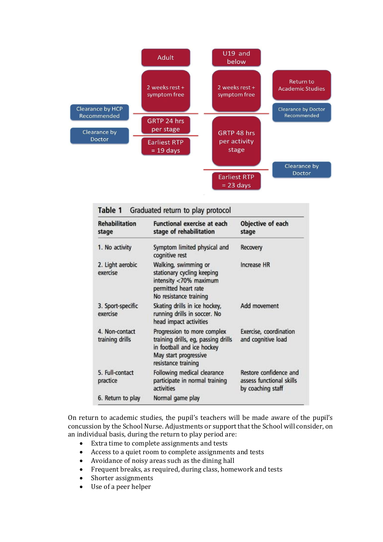

| <b>Rehabilitation</b><br>stage    | <b>Functional exercise at each</b><br>stage of rehabilitation                                                                                    | Objective of each<br>stage                                              |
|-----------------------------------|--------------------------------------------------------------------------------------------------------------------------------------------------|-------------------------------------------------------------------------|
| 1. No activity                    | Symptom limited physical and<br>cognitive rest                                                                                                   | Recovery                                                                |
| 2. Light aerobic<br>exercise      | Walking, swimming or<br>stationary cycling keeping<br>intensity <70% maximum<br>permitted heart rate<br>No resistance training                   | <b>Increase HR</b>                                                      |
| 3. Sport-specific<br>exercise     | Skating drills in ice hockey,<br>running drills in soccer. No<br>head impact activities                                                          | Add movement                                                            |
| 4. Non-contact<br>training drills | Progression to more complex<br>training drills, eg, passing drills<br>in football and ice hockey<br>May start progressive<br>resistance training | Exercise, coordination<br>and cognitive load                            |
| 5. Full-contact<br>practice       | Following medical clearance<br>participate in normal training<br>activities                                                                      | Restore confidence and<br>assess functional skills<br>by coaching staff |
| 6. Return to play                 | Normal game play                                                                                                                                 |                                                                         |

On return to academic studies, the pupil's teachers will be made aware of the pupil's concussion by the School Nurse. Adjustments or support that the School will consider, on an individual basis, during the return to play period are:

- Extra time to complete assignments and tests
- Access to a quiet room to complete assignments and tests
- Avoidance of noisy areas such as the dining hall
- Frequent breaks, as required, during class, homework and tests
- Shorter assignments
- Use of a peer helper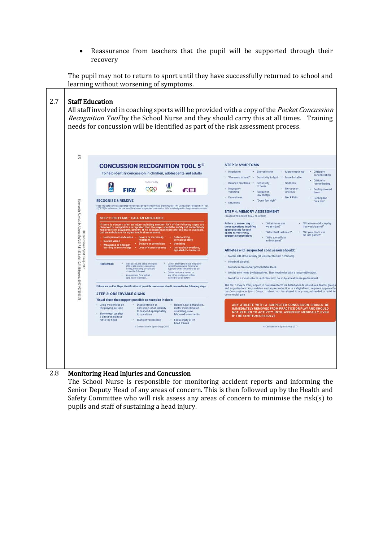Reassurance from teachers that the pupil will be supported through their recovery

2.7 Staff Education All staff involved in coaching sports will be provided with a copy of the *Pocket Concussion* Recognition Tool by the School Nurse and they should carry this at all times. Training needs for concussion will be identified as part of the risk assessment process.  $23$ **STEP 3: SYMPTOMS CONCUSSION RECOGNITION TOOL 5°** + Headache + Blurred vision + More emotional + Difficulty<br>concentration - Headache - Blurred vision - More emotional - Difficulty<br>- "Pressure in head" - Sensitivity to light - More Irritable - Balance problems - Sensitivity - Sadness - Difficulty<br>- Balance problems - Sensitivity - Sadness - Pe To help identify concussion in children, adolescents and adults - Balance problems - Sensitivity - Sadness - Difficulty - Sample - Mausea or - Mausea or - Mausea or - Mausea - Mausea - Mausea - Mausea - Mausea - Mausea - Mausea - Mausea - Mausea - Mausea - Mausea - Mausea - Mausea - Ma Supported by FIFA' QOO **FEI** - Drowsiness ow energy → Neck Pain → Feeling like<br>→ "Don't feel right" → "in a foo" **PECOCNISE & PEMOVE** © Concept (a, e, e, a, B, i Şoots Aled 1017,51,872, dol.10, 1136 b) gorts-2017-097506CRT5<br>Edward a R, et al. B, i Şoots Aled 2017,51,872, dol.10, 1136 b) gorts-2017-097506CRT5 Dizziness -<br>Head Impacts can be associated with serious and potentially fatal brain Injuries. The Concussion Recognition Tool<br>5 (CRTS) is to be used for the identification of suspected concussion. It is not designed to diagnose conc STEP 4: MEMORY ASSESSMENT STEP 1: RED FLAGS - CALL AN AMBULANCE (IN ATHLETES OLDER THAN 12 YEARS) Failure to answer any of What venue are  $\begin{array}{l} \text{``What team did you play the equation (modified line) and the two number of them, respectively, and the two number of them, respectively, and the two number of them, respectively, and the two number of them, respectively, and the two number of them, respectively, and the two number of them, respectively, and the two number of them, respectively, and the two number of them, respectively, and the two number of them, respectively, and the two number of them, respectively, and the two number of them, respectively, and the two number of them, respectively, and the two number of them, respectively, and the two number of them, respectively, and the two number of them, respectively, and the two number of them, respectively, and the two number of them, respectively, and the two number of$ If there is concern after an injury including whether ANY of the following signs are<br>observed or complaints are reported then the player should be safely and immediately<br>removed from play/game/activity. If no licensed heal observed or complaints are reported the<br>removed from play/game/activity, if no<br>call an ambulance for urgent medical as Neck pain or tenderness . Severe or increasing . Deteriorating Neck pain or tenderness - Severe or increasing - Detectionalismy<br>Double vision - Readache - conscious state<br>Weakness or tingling/ - Seizure or convulsion - Vomiting<br>burning in arms or legs - Loss of consciousness - Increas Athletes with suspected concussion should: - Not be left alone initially (at least for the first 1-2 hours). **Remember:** in all cases, the basic principles - Do not attempt to move the player<br>of flust ald (slanger, response, (other than required for alway)<br>aimag, beaching, circulation) = support) = states tained to so do,<br>should · Not drink alcohol. . Not use recreational/ or ecription drugs Do not remove a helmet or<br>any other equipment unless<br>trained to do so safely. - Not be sent home by themselves. They need to be with a responsible adult. Assessment for a spinal - Not drive a motor vehicle until cleared to do so by a healthcare professional. The CRTS may be freely copied in its current form for distribution to individuals, teams, group<br>and organisations. Any revision and any reproduction in a digital form requires approval the<br>concursion in Sport Group. It sho If there are no Red Flags, identification of possible concussion should proceed to the following steps: **STEP 2: OBSERVABLE SIGNS** Visual clues that suggest possible concussion include: - Lying motionless on - Disorientation or - Balance, gait difficulties,<br>the playing surface - confusion, or an inability - motor incoordination,<br>- Slow to get up after - to cespord appropriately stumbling, slow<br>- Slow to g ANY ATHLETE WITH A SUSPECTED CONCUSSION SHOULD BE<br>IMMEDIATELY REMOVED FROM PRACTICE OR PLAY AND SHOULD<br>NOT RETURN TO ACTIVITY UNTIL ASSESSED MEDICALLY, EVEN<br>IF THE SYMPTOMS RESOLVE  $\begin{tabular}{lcccc} &\multicolumn{3}{l}{\textbf{To}~\textbf{to}~\textbf{to}}~&~\textbf{to}~\textbf{to}~\textbf{to}~\textbf{to}}~&~\textbf{to}~\textbf{to}~\textbf{to}~\textbf{to}~\textbf{to}~\textbf{to}~\textbf{to}~\textbf{to}~\textbf{to}~\textbf{to}~\textbf{to}~\textbf{to}~\textbf{to}~\textbf{to}~\textbf{to}~\textbf{to}~\textbf{to}~\textbf{to}~\textbf{to}~\textbf{to}~\textbf{to}~\text$ Concussion in Sport Group 2017 Concussion in Sport Group 2017

### The pupil may not to return to sport until they have successfully returned to school and learning without worsening of symptoms.

### 2.8 Monitoring Head Injuries and Concussion

The School Nurse is responsible for monitoring accident reports and informing the Senior Deputy Head of any areas of concern. This is then followed up by the Health and Safety Committee who will risk assess any areas of concern to minimise the risk(s) to pupils and staff of sustaining a head injury.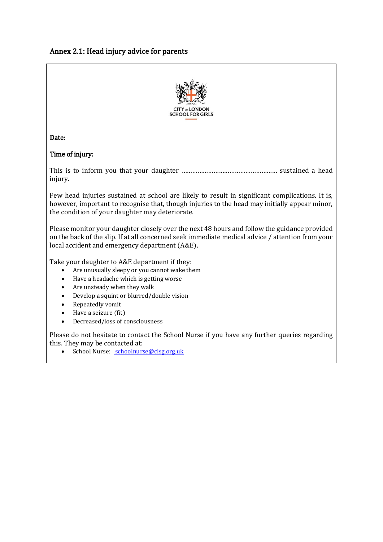### Annex 2.1: Head injury advice for parents